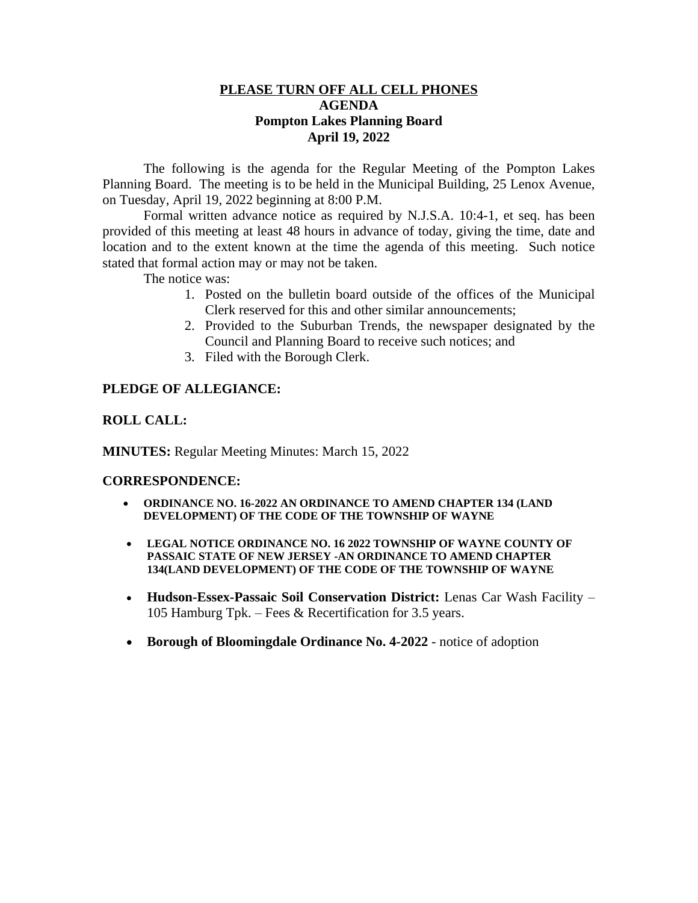## **PLEASE TURN OFF ALL CELL PHONES AGENDA Pompton Lakes Planning Board April 19, 2022**

The following is the agenda for the Regular Meeting of the Pompton Lakes Planning Board. The meeting is to be held in the Municipal Building, 25 Lenox Avenue, on Tuesday, April 19, 2022 beginning at 8:00 P.M.

Formal written advance notice as required by N.J.S.A. 10:4-1, et seq. has been provided of this meeting at least 48 hours in advance of today, giving the time, date and location and to the extent known at the time the agenda of this meeting. Such notice stated that formal action may or may not be taken.

The notice was:

- 1. Posted on the bulletin board outside of the offices of the Municipal Clerk reserved for this and other similar announcements;
- 2. Provided to the Suburban Trends, the newspaper designated by the Council and Planning Board to receive such notices; and
- 3. Filed with the Borough Clerk.

## **PLEDGE OF ALLEGIANCE:**

#### **ROLL CALL:**

**MINUTES:** Regular Meeting Minutes: March 15, 2022

#### **CORRESPONDENCE:**

- **ORDINANCE NO. 16-2022 AN ORDINANCE TO AMEND CHAPTER 134 (LAND DEVELOPMENT) OF THE CODE OF THE TOWNSHIP OF WAYNE**
- **LEGAL NOTICE ORDINANCE NO. 16 2022 TOWNSHIP OF WAYNE COUNTY OF PASSAIC STATE OF NEW JERSEY -AN ORDINANCE TO AMEND CHAPTER 134(LAND DEVELOPMENT) OF THE CODE OF THE TOWNSHIP OF WAYNE**
- **Hudson-Essex-Passaic Soil Conservation District:** Lenas Car Wash Facility 105 Hamburg Tpk. – Fees & Recertification for 3.5 years.
- Borough of Bloomingdale Ordinance No. 4-2022 notice of adoption